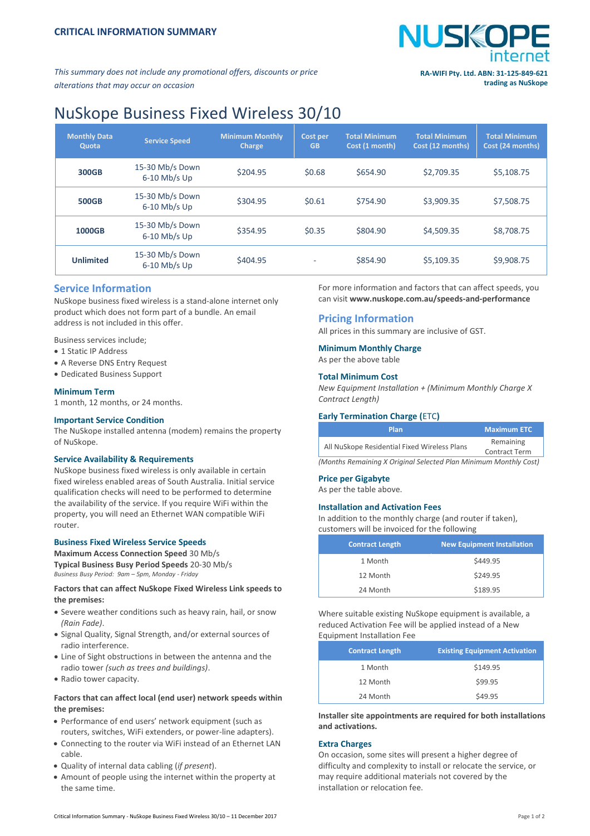

*This summary does not include any promotional offers, discounts or price alterations that may occur on occasion*

# **trading as NuSkope**

# NuSkope Business Fixed Wireless 30/10

| <b>Monthly Data</b><br>Quota | <b>Service Speed</b>              | <b>Minimum Monthly</b><br><b>Charge</b> | Cost per<br><b>GB</b> | <b>Total Minimum</b><br>Cost (1 month) | <b>Total Minimum</b><br>Cost (12 months) | <b>Total Minimum</b><br>Cost (24 months) |
|------------------------------|-----------------------------------|-----------------------------------------|-----------------------|----------------------------------------|------------------------------------------|------------------------------------------|
| <b>300GB</b>                 | 15-30 Mb/s Down<br>$6-10$ Mb/s Up | \$204.95                                | \$0.68                | \$654.90                               | \$2,709.35                               | \$5,108.75                               |
| <b>500GB</b>                 | 15-30 Mb/s Down<br>$6-10$ Mb/s Up | \$304.95                                | \$0.61                | \$754.90                               | \$3,909.35                               | \$7,508.75                               |
| 1000GB                       | 15-30 Mb/s Down<br>$6-10$ Mb/s Up | \$354.95                                | \$0.35                | \$804.90                               | \$4,509.35                               | \$8,708.75                               |
| <b>Unlimited</b>             | 15-30 Mb/s Down<br>$6-10$ Mb/s Up | \$404.95                                | <b>.</b>              | \$854.90                               | \$5,109.35                               | \$9,908.75                               |

# **Service Information**

NuSkope business fixed wireless is a stand-alone internet only product which does not form part of a bundle. An email address is not included in this offer.

Business services include;

- 1 Static IP Address
- A Reverse DNS Entry Request
- Dedicated Business Support

# **Minimum Term**

1 month, 12 months, or 24 months.

#### **Important Service Condition**

The NuSkope installed antenna (modem) remains the property of NuSkope.

#### **Service Availability & Requirements**

NuSkope business fixed wireless is only available in certain fixed wireless enabled areas of South Australia. Initial service qualification checks will need to be performed to determine the availability of the service. If you require WiFi within the property, you will need an Ethernet WAN compatible WiFi router.

#### **Business Fixed Wireless Service Speeds**

**Maximum Access Connection Speed** 30 Mb/s **Typical Business Busy Period Speeds** 20-30 Mb/s *Business Busy Period: 9am – 5pm, Monday - Friday*

# **Factors that can affect NuSkope Fixed Wireless Link speeds to the premises:**

- Severe weather conditions such as heavy rain, hail, or snow *(Rain Fade)*.
- Signal Quality, Signal Strength, and/or external sources of radio interference.
- Line of Sight obstructions in between the antenna and the radio tower *(such as trees and buildings)*.
- Radio tower capacity.

# **Factors that can affect local (end user) network speeds within the premises:**

- Performance of end users' network equipment (such as routers, switches, WiFi extenders, or power-line adapters).
- Connecting to the router via WiFi instead of an Ethernet LAN cable.
- Quality of internal data cabling (*if present*).
- Amount of people using the internet within the property at the same time.

For more information and factors that can affect speeds, you can visit **[www.nuskope.com.au/speeds-and-performance](http://www.nuskope.com.au/speeds-and-performance)**

# **Pricing Information**

All prices in this summary are inclusive of GST.

# **Minimum Monthly Charge**

As per the above table

# **Total Minimum Cost**

*New Equipment Installation + (Minimum Monthly Charge X Contract Length)*

# **Early Termination Charge (**ETC**)**

| Plan                                         | <b>Maximum ETC</b>                |  |
|----------------------------------------------|-----------------------------------|--|
| All NuSkope Residential Fixed Wireless Plans | Remaining<br><b>Contract Term</b> |  |
|                                              |                                   |  |

*(Months Remaining X Original Selected Plan Minimum Monthly Cost)*

# **Price per Gigabyte**

As per the table above.

# **Installation and Activation Fees**

In addition to the monthly charge (and router if taken), customers will be invoiced for the following

| <b>Contract Length</b> | <b>New Equipment Installation</b> |
|------------------------|-----------------------------------|
| 1 Month                | \$449.95                          |
| 12 Month               | \$249.95                          |
| 24 Month               | \$189.95                          |

Where suitable existing NuSkope equipment is available, a reduced Activation Fee will be applied instead of a New Equipment Installation Fee

| <b>Contract Length</b> | <b>Existing Equipment Activation</b> |
|------------------------|--------------------------------------|
| 1 Month                | \$149.95                             |
| 12 Month               | \$99.95                              |
| 24 Month               | \$49.95                              |

**Installer site appointments are required for both installations and activations.**

# **Extra Charges**

On occasion, some sites will present a higher degree of difficulty and complexity to install or relocate the service, or may require additional materials not covered by the installation or relocation fee.